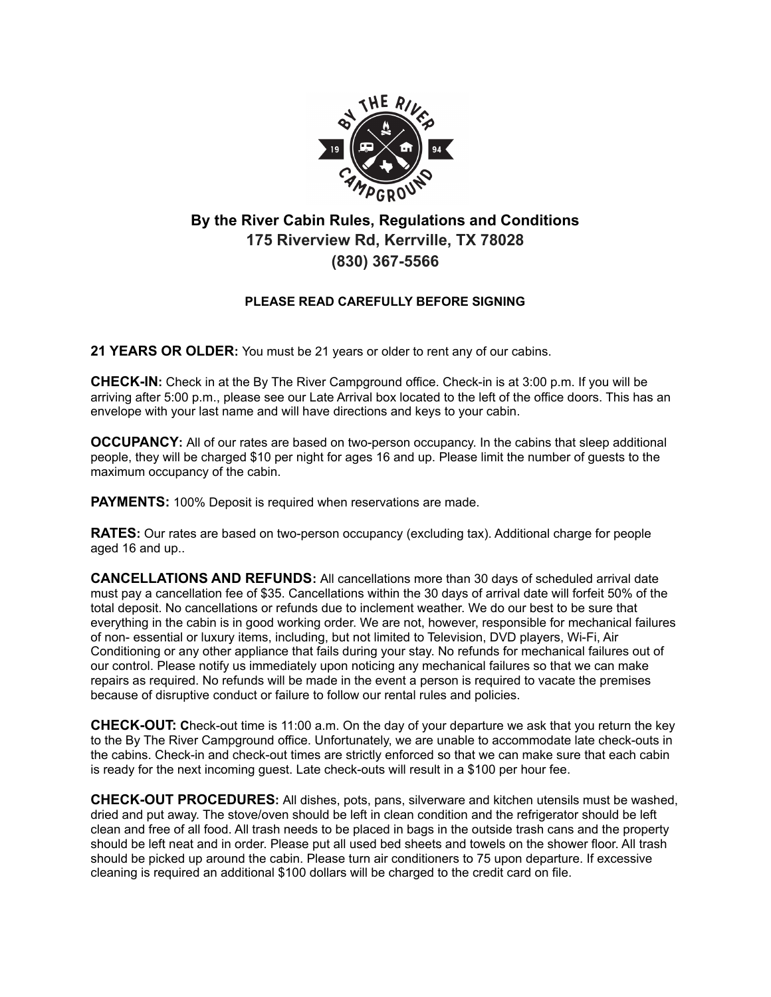

## **By the River Cabin Rules, Regulations and Conditions 175 Riverview Rd, Kerrville, TX 78028 (830) 367-5566**

## **PLEASE READ CAREFULLY BEFORE SIGNING**

**21 YEARS OR OLDER:** You must be 21 years or older to rent any of our cabins.

**CHECK-IN:** Check in at the By The River Campground office. Check-in is at 3:00 p.m. If you will be arriving after 5:00 p.m., please see our Late Arrival box located to the left of the office doors. This has an envelope with your last name and will have directions and keys to your cabin.

**OCCUPANCY:** All of our rates are based on two-person occupancy. In the cabins that sleep additional people, they will be charged \$10 per night for ages 16 and up. Please limit the number of guests to the maximum occupancy of the cabin.

**PAYMENTS:** 100% Deposit is required when reservations are made.

**RATES:** Our rates are based on two-person occupancy (excluding tax). Additional charge for people aged 16 and up..

**CANCELLATIONS AND REFUNDS:** All cancellations more than 30 days of scheduled arrival date must pay a cancellation fee of \$35. Cancellations within the 30 days of arrival date will forfeit 50% of the total deposit. No cancellations or refunds due to inclement weather. We do our best to be sure that everything in the cabin is in good working order. We are not, however, responsible for mechanical failures of non- essential or luxury items, including, but not limited to Television, DVD players, Wi-Fi, Air Conditioning or any other appliance that fails during your stay. No refunds for mechanical failures out of our control. Please notify us immediately upon noticing any mechanical failures so that we can make repairs as required. No refunds will be made in the event a person is required to vacate the premises because of disruptive conduct or failure to follow our rental rules and policies.

**CHECK-OUT: C**heck-out time is 11:00 a.m. On the day of your departure we ask that you return the key to the By The River Campground office. Unfortunately, we are unable to accommodate late check-outs in the cabins. Check-in and check-out times are strictly enforced so that we can make sure that each cabin is ready for the next incoming guest. Late check-outs will result in a \$100 per hour fee.

**CHECK-OUT PROCEDURES:** All dishes, pots, pans, silverware and kitchen utensils must be washed, dried and put away. The stove/oven should be left in clean condition and the refrigerator should be left clean and free of all food. All trash needs to be placed in bags in the outside trash cans and the property should be left neat and in order. Please put all used bed sheets and towels on the shower floor. All trash should be picked up around the cabin. Please turn air conditioners to 75 upon departure. If excessive cleaning is required an additional \$100 dollars will be charged to the credit card on file.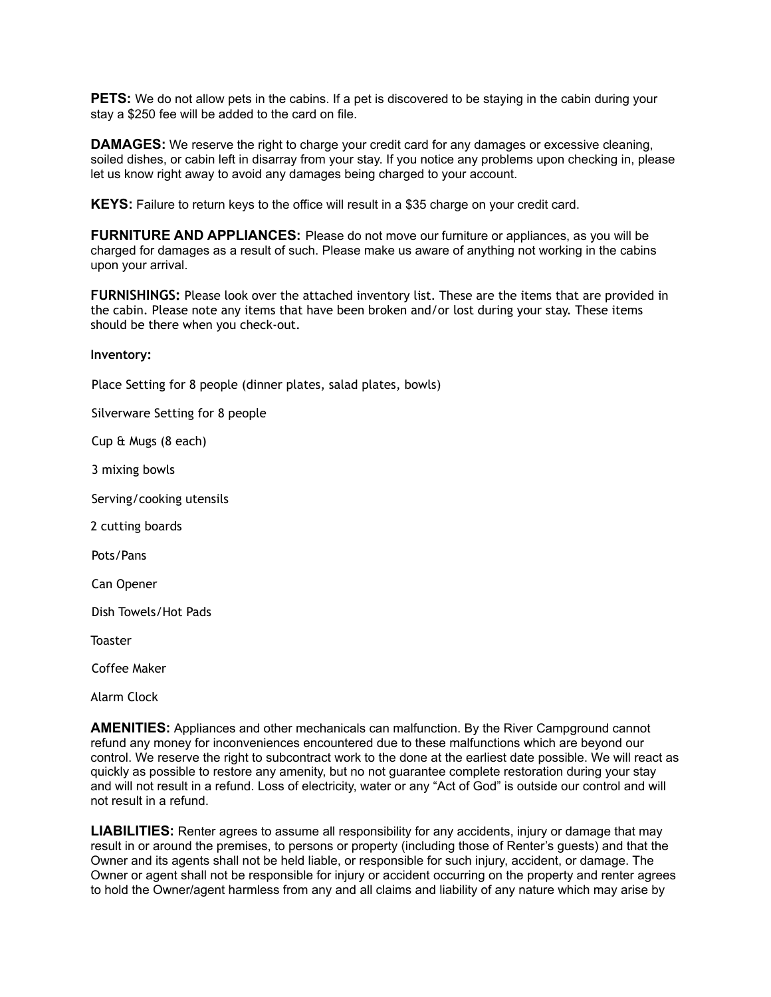**PETS:** We do not allow pets in the cabins. If a pet is discovered to be staying in the cabin during your stay a \$250 fee will be added to the card on file.

**DAMAGES:** We reserve the right to charge your credit card for any damages or excessive cleaning, soiled dishes, or cabin left in disarray from your stay. If you notice any problems upon checking in, please let us know right away to avoid any damages being charged to your account.

**KEYS:** Failure to return keys to the office will result in a \$35 charge on your credit card.

**FURNITURE AND APPLIANCES:** Please do not move our furniture or appliances, as you will be charged for damages as a result of such. Please make us aware of anything not working in the cabins upon your arrival.

**FURNISHINGS:** Please look over the attached inventory list. These are the items that are provided in the cabin. Please note any items that have been broken and/or lost during your stay. These items should be there when you check-out.

**Inventory:**

Place Setting for 8 people (dinner plates, salad plates, bowls)

Silverware Setting for 8 people

Cup & Mugs (8 each)

3 mixing bowls

Serving/cooking utensils

2 cutting boards

Pots/Pans

Can Opener

Dish Towels/Hot Pads

**Toaster** 

Coffee Maker

Alarm Clock

**AMENITIES:** Appliances and other mechanicals can malfunction. By the River Campground cannot refund any money for inconveniences encountered due to these malfunctions which are beyond our control. We reserve the right to subcontract work to the done at the earliest date possible. We will react as quickly as possible to restore any amenity, but no not guarantee complete restoration during your stay and will not result in a refund. Loss of electricity, water or any "Act of God" is outside our control and will not result in a refund.

**LIABILITIES:** Renter agrees to assume all responsibility for any accidents, injury or damage that may result in or around the premises, to persons or property (including those of Renter's guests) and that the Owner and its agents shall not be held liable, or responsible for such injury, accident, or damage. The Owner or agent shall not be responsible for injury or accident occurring on the property and renter agrees to hold the Owner/agent harmless from any and all claims and liability of any nature which may arise by